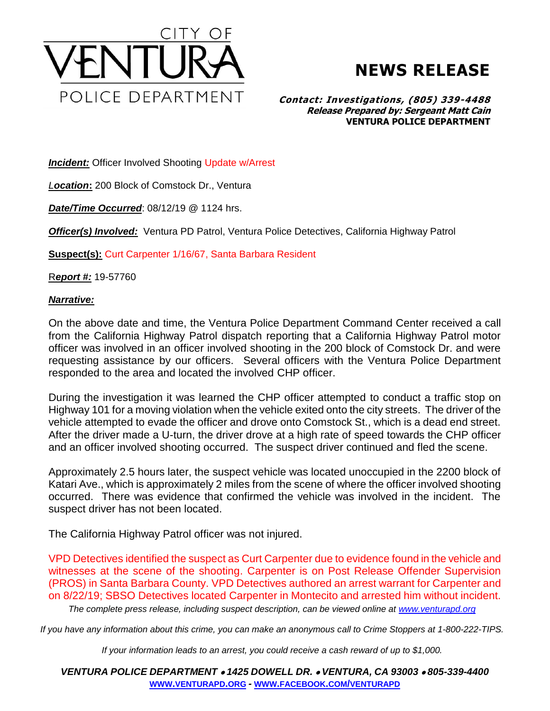

## **NEWS RELEASE**

## **Contact: Investigations, (805) 339-4488 Release Prepared by: Sergeant Matt Cain VENTURA POLICE DEPARTMENT**

**Incident:** Officer Involved Shooting Update w/Arrest

*Location***:** 200 Block of Comstock Dr., Ventura

*Date/Time Occurred*: 08/12/19 @ 1124 hrs.

*Officer(s) Involved:* Ventura PD Patrol, Ventura Police Detectives, California Highway Patrol

**Suspect(s):** Curt Carpenter 1/16/67, Santa Barbara Resident

R*eport #:* 19-57760

## *Narrative:*

On the above date and time, the Ventura Police Department Command Center received a call from the California Highway Patrol dispatch reporting that a California Highway Patrol motor officer was involved in an officer involved shooting in the 200 block of Comstock Dr. and were requesting assistance by our officers. Several officers with the Ventura Police Department responded to the area and located the involved CHP officer.

During the investigation it was learned the CHP officer attempted to conduct a traffic stop on Highway 101 for a moving violation when the vehicle exited onto the city streets. The driver of the vehicle attempted to evade the officer and drove onto Comstock St., which is a dead end street. After the driver made a U-turn, the driver drove at a high rate of speed towards the CHP officer and an officer involved shooting occurred. The suspect driver continued and fled the scene.

Approximately 2.5 hours later, the suspect vehicle was located unoccupied in the 2200 block of Katari Ave., which is approximately 2 miles from the scene of where the officer involved shooting occurred. There was evidence that confirmed the vehicle was involved in the incident. The suspect driver has not been located.

The California Highway Patrol officer was not injured.

VPD Detectives identified the suspect as Curt Carpenter due to evidence found in the vehicle and witnesses at the scene of the shooting. Carpenter is on Post Release Offender Supervision (PROS) in Santa Barbara County. VPD Detectives authored an arrest warrant for Carpenter and on 8/22/19; SBSO Detectives located Carpenter in Montecito and arrested him without incident.

*The complete press release, including suspect description, can be viewed online at [www.venturapd.org](http://www.venturapd.org/)*

*If you have any information about this crime, you can make an anonymous call to Crime Stoppers at 1-800-222-TIPS.*

*If your information leads to an arrest, you could receive a cash reward of up to \$1,000.*

*VENTURA POLICE DEPARTMENT* • *1425 DOWELL DR.* • *VENTURA, CA 93003* • *805-339-4400* **WWW.[VENTURAPD](http://www.venturapd.org/).ORG** *-* **WWW.FACEBOOK.COM/[VENTURAPD](http://www.facebook.com/venturapd)**